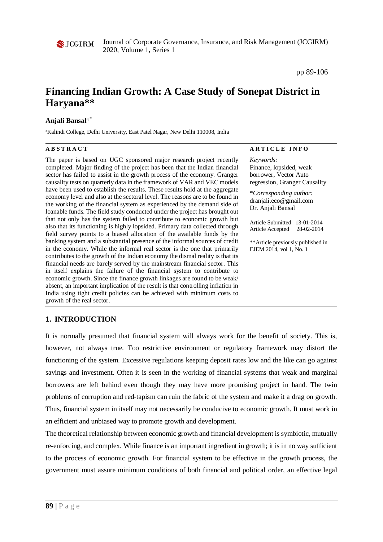

Journal of Corporate Governance, Insurance, and Risk Management (JCGIRM) 2020, Volume 1, Series 1

pp 89-106

# **Financing Indian Growth: A Case Study of Sonepat District in Haryana\*\***

# **Anjali Bansal**a,\*

a Kalindi College, Delhi University, East Patel Nagar, New Delhi 110008, India

The paper is based on UGC sponsored major research project recently completed. Major finding of the project has been that the Indian financial sector has failed to assist in the growth process of the economy. Granger causality tests on quarterly data in the framework of VAR and VEC models have been used to establish the results. These results hold at the aggregate economy level and also at the sectoral level. The reasons are to be found in the working of the financial system as experienced by the demand side of loanable funds. The field study conducted under the project has brought out that not only has the system failed to contribute to economic growth but also that its functioning is highly lopsided. Primary data collected through field survey points to a biased allocation of the available funds by the banking system and a substantial presence of the informal sources of credit in the economy. While the informal real sector is the one that primarily contributes to the growth of the Indian economy the dismal reality is that its financial needs are barely served by the mainstream financial sector. This in itself explains the failure of the financial system to contribute to economic growth. Since the finance growth linkages are found to be weak/ absent, an important implication of the result is that controlling inflation in India using tight credit policies can be achieved with minimum costs to growth of the real sector.

**A B S T R A C T A R T I C L E I N F O**

*Keywords:* Finance, lopsided, weak borrower, Vector Auto regression, Granger Causality

\**Corresponding author:*  dranjali.eco@gmail.com Dr. Anjali Bansal

Article Submitted 13-01-2014 Article Accepted 28-02-2014

\*\*Article previously published in EJEM 2014, vol 1, No. 1

# **1. INTRODUCTION**

It is normally presumed that financial system will always work for the benefit of society. This is, however, not always true. Too restrictive environment or regulatory framework may distort the functioning of the system. Excessive regulations keeping deposit rates low and the like can go against savings and investment. Often it is seen in the working of financial systems that weak and marginal borrowers are left behind even though they may have more promising project in hand. The twin problems of corruption and red-tapism can ruin the fabric of the system and make it a drag on growth. Thus, financial system in itself may not necessarily be conducive to economic growth. It must work in an efficient and unbiased way to promote growth and development.

The theoretical relationship between economic growth and financial development is symbiotic, mutually re-enforcing, and complex. While finance is an important ingredient in growth; it is in no way sufficient to the process of economic growth. For financial system to be effective in the growth process, the government must assure minimum conditions of both financial and political order, an effective legal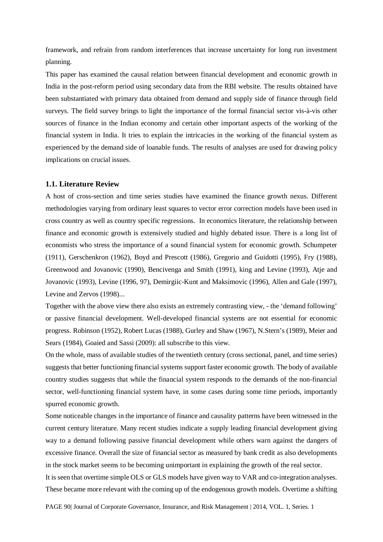framework, and refrain from random interferences that increase uncertainty for long run investment planning.

This paper has examined the causal relation between financial development and economic growth in India in the post-reform period using secondary data from the RBI website. The results obtained have been substantiated with primary data obtained from demand and supply side of finance through field surveys. The field survey brings to light the importance of the formal financial sector vis-à-vis other sources of finance in the Indian economy and certain other important aspects of the working of the financial system in India. It tries to explain the intricacies in the working of the financial system as experienced by the demand side of loanable funds. The results of analyses are used for drawing policy implications on crucial issues.

#### **1.1. Literature Review**

A host of cross-section and time series studies have examined the finance growth nexus. Different methodologies varying from ordinary least squares to vector error correction models have been used in cross country as well as country specific regressions. In economics literature, the relationship between finance and economic growth is extensively studied and highly debated issue. There is a long list of economists who stress the importance of a sound financial system for economic growth. Schumpeter (1911), Gerschenkron (1962), Boyd and Prescott (1986), Gregorio and Guidotti (1995), Fry (1988), Greenwood and Jovanovic (1990), Bencivenga and Smith (1991), king and Levine (1993), Atje and Jovanovic (1993), Levine (1996, 97), Demirgiic-Kunt and Maksimovic (1996), Allen and Gale (1997), Levine and Zervos (1998)...

Together with the above view there also exists an extremely contrasting view, - the 'demand following' or passive financial development. Well-developed financial systems are not essential for economic progress. Robinson (1952), Robert Lucas (1988), Gurley and Shaw (1967), N.Stern's (1989), Meier and Sears (1984), Goaied and Sassi (2009): all subscribe to this view.

On the whole, mass of available studies of the twentieth century (cross sectional, panel, and time series) suggests that better functioning financial systems support faster economic growth. The body of available country studies suggests that while the financial system responds to the demands of the non-financial sector, well-functioning financial system have, in some cases during some time periods, importantly spurred economic growth.

Some noticeable changes in the importance of finance and causality patterns have been witnessed in the current century literature. Many recent studies indicate a supply leading financial development giving way to a demand following passive financial development while others warn against the dangers of excessive finance. Overall the size of financial sector as measured by bank credit as also developments in the stock market seems to be becoming unimportant in explaining the growth of the real sector.

It is seen that overtime simple OLS or GLS models have given way to VAR and co-integration analyses. These became more relevant with the coming up of the endogenous growth models. Overtime a shifting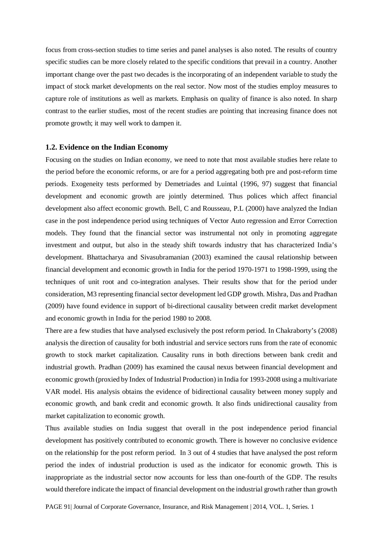focus from cross-section studies to time series and panel analyses is also noted. The results of country specific studies can be more closely related to the specific conditions that prevail in a country. Another important change over the past two decades is the incorporating of an independent variable to study the impact of stock market developments on the real sector. Now most of the studies employ measures to capture role of institutions as well as markets. Emphasis on quality of finance is also noted. In sharp contrast to the earlier studies, most of the recent studies are pointing that increasing finance does not promote growth; it may well work to dampen it.

#### **1.2. Evidence on the Indian Economy**

Focusing on the studies on Indian economy, we need to note that most available studies here relate to the period before the economic reforms, or are for a period aggregating both pre and post-reform time periods. Exogeneity tests performed by Demetriades and Luintal (1996, 97) suggest that financial development and economic growth are jointly determined. Thus polices which affect financial development also affect economic growth. Bell, C and Rousseau, P.L (2000) have analyzed the Indian case in the post independence period using techniques of Vector Auto regression and Error Correction models. They found that the financial sector was instrumental not only in promoting aggregate investment and output, but also in the steady shift towards industry that has characterized India's development. Bhattacharya and Sivasubramanian (2003) examined the causal relationship between financial development and economic growth in India for the period 1970-1971 to 1998-1999, using the techniques of unit root and co-integration analyses. Their results show that for the period under consideration, M3 representing financial sector development led GDP growth. Mishra, Das and Pradhan (2009) have found evidence in support of bi-directional causality between credit market development and economic growth in India for the period 1980 to 2008.

There are a few studies that have analysed exclusively the post reform period. In Chakraborty's (2008) analysis the direction of causality for both industrial and service sectors runs from the rate of economic growth to stock market capitalization. Causality runs in both directions between bank credit and industrial growth. Pradhan (2009) has examined the causal nexus between financial development and economic growth (proxied by Index of Industrial Production) in India for 1993-2008 using a multivariate VAR model. His analysis obtains the evidence of bidirectional causality between money supply and economic growth, and bank credit and economic growth. It also finds unidirectional causality from market capitalization to economic growth.

Thus available studies on India suggest that overall in the post independence period financial development has positively contributed to economic growth. There is however no conclusive evidence on the relationship for the post reform period. In 3 out of 4 studies that have analysed the post reform period the index of industrial production is used as the indicator for economic growth. This is inappropriate as the industrial sector now accounts for less than one-fourth of the GDP. The results would therefore indicate the impact of financial development on the industrial growth rather than growth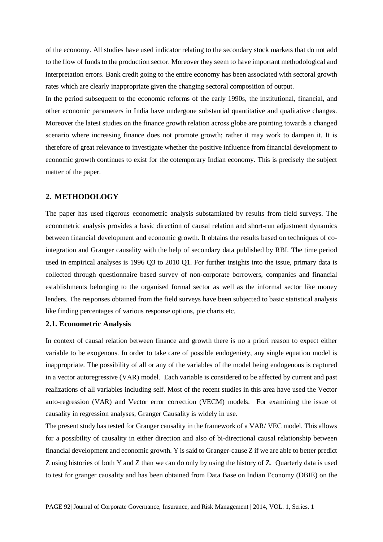of the economy. All studies have used indicator relating to the secondary stock markets that do not add to the flow of funds to the production sector. Moreover they seem to have important methodological and interpretation errors. Bank credit going to the entire economy has been associated with sectoral growth rates which are clearly inappropriate given the changing sectoral composition of output.

In the period subsequent to the economic reforms of the early 1990s, the institutional, financial, and other economic parameters in India have undergone substantial quantitative and qualitative changes. Moreover the latest studies on the finance growth relation across globe are pointing towards a changed scenario where increasing finance does not promote growth; rather it may work to dampen it. It is therefore of great relevance to investigate whether the positive influence from financial development to economic growth continues to exist for the cotemporary Indian economy. This is precisely the subject matter of the paper.

#### **2. METHODOLOGY**

The paper has used rigorous econometric analysis substantiated by results from field surveys. The econometric analysis provides a basic direction of causal relation and short-run adjustment dynamics between financial development and economic growth. It obtains the results based on techniques of cointegration and Granger causality with the help of secondary data published by RBI. The time period used in empirical analyses is 1996 Q3 to 2010 Q1. For further insights into the issue, primary data is collected through questionnaire based survey of non-corporate borrowers, companies and financial establishments belonging to the organised formal sector as well as the informal sector like money lenders. The responses obtained from the field surveys have been subjected to basic statistical analysis like finding percentages of various response options, pie charts etc.

#### **2.1. Econometric Analysis**

In context of causal relation between finance and growth there is no a priori reason to expect either variable to be exogenous. In order to take care of possible endogeniety, any single equation model is inappropriate. The possibility of all or any of the variables of the model being endogenous is captured in a vector autoregressive (VAR) model. Each variable is considered to be affected by current and past realizations of all variables including self. Most of the recent studies in this area have used the Vector auto-regression (VAR) and Vector error correction (VECM) models. For examining the issue of causality in regression analyses, Granger Causality is widely in use.

The present study has tested for Granger causality in the framework of a VAR/ VEC model. This allows for a possibility of causality in either direction and also of bi-directional causal relationship between financial development and economic growth. Y is said to Granger-cause Z if we are able to better predict Z using histories of both Y and Z than we can do only by using the history of Z. Quarterly data is used to test for granger causality and has been obtained from Data Base on Indian Economy (DBIE) on the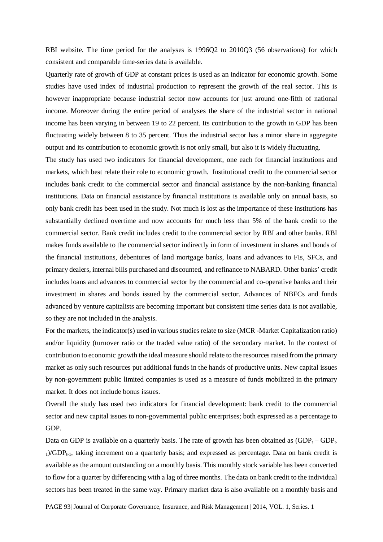RBI website. The time period for the analyses is 1996Q2 to 2010Q3 (56 observations) for which consistent and comparable time-series data is available.

Quarterly rate of growth of GDP at constant prices is used as an indicator for economic growth. Some studies have used index of industrial production to represent the growth of the real sector. This is however inappropriate because industrial sector now accounts for just around one-fifth of national income. Moreover during the entire period of analyses the share of the industrial sector in national income has been varying in between 19 to 22 percent. Its contribution to the growth in GDP has been fluctuating widely between 8 to 35 percent. Thus the industrial sector has a minor share in aggregate output and its contribution to economic growth is not only small, but also it is widely fluctuating.

The study has used two indicators for financial development, one each for financial institutions and markets, which best relate their role to economic growth. Institutional credit to the commercial sector includes bank credit to the commercial sector and financial assistance by the non-banking financial institutions. Data on financial assistance by financial institutions is available only on annual basis, so only bank credit has been used in the study. Not much is lost as the importance of these institutions has substantially declined overtime and now accounts for much less than 5% of the bank credit to the commercial sector. Bank credit includes credit to the commercial sector by RBI and other banks. RBI makes funds available to the commercial sector indirectly in form of investment in shares and bonds of the financial institutions, debentures of land mortgage banks, loans and advances to FIs, SFCs, and primary dealers, internal bills purchased and discounted, and refinance to NABARD. Other banks' credit includes loans and advances to commercial sector by the commercial and co-operative banks and their investment in shares and bonds issued by the commercial sector. Advances of NBFCs and funds advanced by venture capitalists are becoming important but consistent time series data is not available, so they are not included in the analysis.

For the markets, the indicator(s) used in various studies relate to size (MCR -Market Capitalization ratio) and/or liquidity (turnover ratio or the traded value ratio) of the secondary market. In the context of contribution to economic growth the ideal measure should relate to the resources raised from the primary market as only such resources put additional funds in the hands of productive units. New capital issues by non-government public limited companies is used as a measure of funds mobilized in the primary market. It does not include bonus issues.

Overall the study has used two indicators for financial development: bank credit to the commercial sector and new capital issues to non-governmental public enterprises; both expressed as a percentage to GDP.

Data on GDP is available on a quarterly basis. The rate of growth has been obtained as  $(GDP_t - GDP_t$  $1$ /GDP<sub>t-1</sub>, taking increment on a quarterly basis; and expressed as percentage. Data on bank credit is available as the amount outstanding on a monthly basis. This monthly stock variable has been converted to flow for a quarter by differencing with a lag of three months. The data on bank credit to the individual sectors has been treated in the same way. Primary market data is also available on a monthly basis and

PAGE 93| Journal of Corporate Governance, Insurance, and Risk Management | 2014, VOL. 1, Series. 1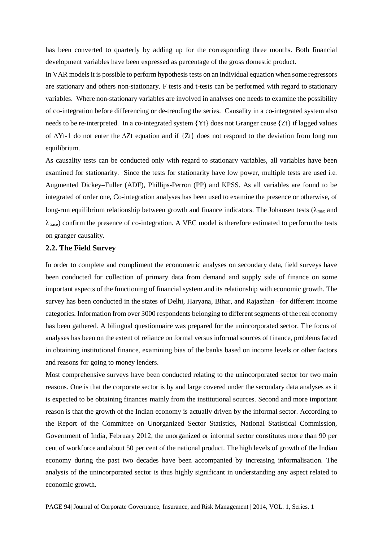has been converted to quarterly by adding up for the corresponding three months. Both financial development variables have been expressed as percentage of the gross domestic product.

In VAR models it is possible to perform hypothesis tests on an individual equation when some regressors are stationary and others non-stationary. F tests and t-tests can be performed with regard to stationary variables. Where non-stationary variables are involved in analyses one needs to examine the possibility of co-integration before differencing or de-trending the series. Causality in a co-integrated system also needs to be re-interpreted. In a co-integrated system {Yt} does not Granger cause {Zt} if lagged values of ∆Yt-1 do not enter the ∆Zt equation and if {Zt} does not respond to the deviation from long run equilibrium.

As causality tests can be conducted only with regard to stationary variables, all variables have been examined for stationarity. Since the tests for stationarity have low power, multiple tests are used i.e. Augmented Dickey–Fuller (ADF), Phillips-Perron (PP) and KPSS. As all variables are found to be integrated of order one, Co-integration analyses has been used to examine the presence or otherwise, of long-run equilibrium relationship between growth and finance indicators. The Johansen tests ( $\lambda_{\text{max}}$  and  $\lambda_{\text{trace}}$ ) confirm the presence of co-integration. A VEC model is therefore estimated to perform the tests on granger causality.

# **2.2. The Field Survey**

In order to complete and compliment the econometric analyses on secondary data, field surveys have been conducted for collection of primary data from demand and supply side of finance on some important aspects of the functioning of financial system and its relationship with economic growth. The survey has been conducted in the states of Delhi, Haryana, Bihar, and Rajasthan –for different income categories. Information from over 3000 respondents belonging to different segments of the real economy has been gathered. A bilingual questionnaire was prepared for the unincorporated sector. The focus of analyses has been on the extent of reliance on formal versus informal sources of finance, problems faced in obtaining institutional finance, examining bias of the banks based on income levels or other factors and reasons for going to money lenders.

Most comprehensive surveys have been conducted relating to the unincorporated sector for two main reasons. One is that the corporate sector is by and large covered under the secondary data analyses as it is expected to be obtaining finances mainly from the institutional sources. Second and more important reason is that the growth of the Indian economy is actually driven by the informal sector. According to the Report of the Committee on Unorganized Sector Statistics, National Statistical Commission, Government of India, February 2012, the unorganized or informal sector constitutes more than 90 per cent of workforce and about 50 per cent of the national product. The high levels of growth of the Indian economy during the past two decades have been accompanied by increasing informalisation. The analysis of the unincorporated sector is thus highly significant in understanding any aspect related to economic growth.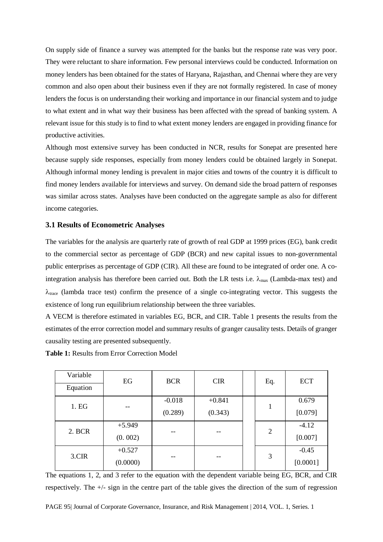On supply side of finance a survey was attempted for the banks but the response rate was very poor. They were reluctant to share information. Few personal interviews could be conducted. Information on money lenders has been obtained for the states of Haryana, Rajasthan, and Chennai where they are very common and also open about their business even if they are not formally registered. In case of money lenders the focus is on understanding their working and importance in our financial system and to judge to what extent and in what way their business has been affected with the spread of banking system. A relevant issue for this study is to find to what extent money lenders are engaged in providing finance for productive activities.

Although most extensive survey has been conducted in NCR, results for Sonepat are presented here because supply side responses, especially from money lenders could be obtained largely in Sonepat. Although informal money lending is prevalent in major cities and towns of the country it is difficult to find money lenders available for interviews and survey. On demand side the broad pattern of responses was similar across states. Analyses have been conducted on the aggregate sample as also for different income categories.

# **3.1 Results of Econometric Analyses**

The variables for the analysis are quarterly rate of growth of real GDP at 1999 prices (EG), bank credit to the commercial sector as percentage of GDP (BCR) and new capital issues to non-governmental public enterprises as percentage of GDP (CIR). All these are found to be integrated of order one. A cointegration analysis has therefore been carried out. Both the LR tests i.e.  $\lambda_{\text{max}}$  (Lambda-max test) and  $\lambda_{\text{trace}}$  (lambda trace test) confirm the presence of a single co-integrating vector. This suggests the existence of long run equilibrium relationship between the three variables.

A VECM is therefore estimated in variables EG, BCR, and CIR. Table 1 presents the results from the estimates of the error correction model and summary results of granger causality tests. Details of granger causality testing are presented subsequently.

**Table 1:** Results from Error Correction Model

| Variable | EG       | <b>BCR</b> | <b>CIR</b> | Eq.            | <b>ECT</b> |
|----------|----------|------------|------------|----------------|------------|
| Equation |          |            |            |                |            |
| 1. EG    |          | $-0.018$   | $+0.841$   |                | 0.679      |
|          | --       | (0.289)    | (0.343)    |                | [0.079]    |
|          | $+5.949$ |            |            |                | $-4.12$    |
| 2. BCR   | (0.002)  | --         |            | $\overline{2}$ | [0.007]    |
|          | $+0.527$ |            |            |                | $-0.45$    |
| 3.CIR    | (0.0000) | --         |            | 3              | [0.0001]   |

The equations 1, 2, and 3 refer to the equation with the dependent variable being EG, BCR, and CIR respectively. The +/- sign in the centre part of the table gives the direction of the sum of regression

PAGE 95| Journal of Corporate Governance, Insurance, and Risk Management | 2014, VOL. 1, Series. 1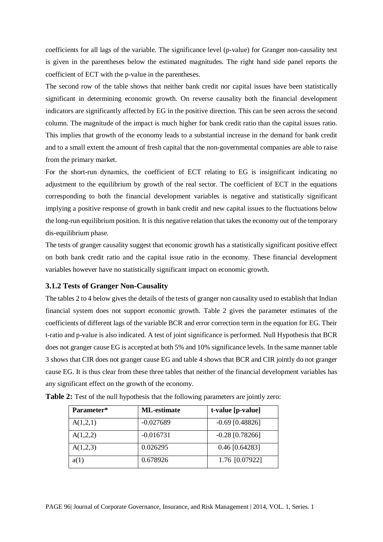coefficients for all lags of the variable. The significance level (p-value) for Granger non-causality test is given in the parentheses below the estimated magnitudes. The right hand side panel reports the coefficient of ECT with the p-value in the parentheses.

The second row of the table shows that neither bank credit nor capital issues have been statistically significant in determining economic growth. On reverse causality both the financial development indicators are significantly affected by EG in the positive direction. This can be seen across the second column. The magnitude of the impact is much higher for bank credit ratio than the capital issues ratio. This implies that growth of the economy leads to a substantial increase in the demand for bank credit and to a small extent the amount of fresh capital that the non-governmental companies are able to raise from the primary market.

For the short-run dynamics, the coefficient of ECT relating to EG is insignificant indicating no adjustment to the equilibrium by growth of the real sector. The coefficient of ECT in the equations corresponding to both the financial development variables is negative and statistically significant implying a positive response of growth in bank credit and new capital issues to the fluctuations below the long-run equilibrium position. It is this negative relation that takes the economy out of the temporary dis-equilibrium phase.

The tests of granger causality suggest that economic growth has a statistically significant positive effect on both bank credit ratio and the capital issue ratio in the economy. These financial development variables however have no statistically significant impact on economic growth.

# **3.1.2 Tests of Granger Non-Causality**

The tables 2 to 4 below gives the details of the tests of granger non causality used to establish that Indian financial system does not support economic growth. Table 2 gives the parameter estimates of the coefficients of different lags of the variable BCR and error correction term in the equation for EG. Their t-ratio and p-value is also indicated. A test of joint significance is performed. Null Hypothesis that BCR does not granger cause EG is accepted at both 5% and 10% significance levels. In the same manner table 3 shows that CIR does not granger cause EG and table 4 shows that BCR and CIR jointly do not granger cause EG. It is thus clear from these three tables that neither of the financial development variables has any significant effect on the growth of the economy.

| Parameter* | <b>ML-estimate</b> | t-value [p-value] |
|------------|--------------------|-------------------|
| A(1,2,1)   | $-0.027689$        | $-0.69$ [0.48826] |
| A(1,2,2)   | $-0.016731$        | $-0.28$ [0.78266] |
| A(1,2,3)   | 0.026295           | $0.46$ [0.64283]  |
| a(1)       | 0.678926           | 1.76 [0.07922]    |

**Table 2:** Test of the null hypothesis that the following parameters are jointly zero: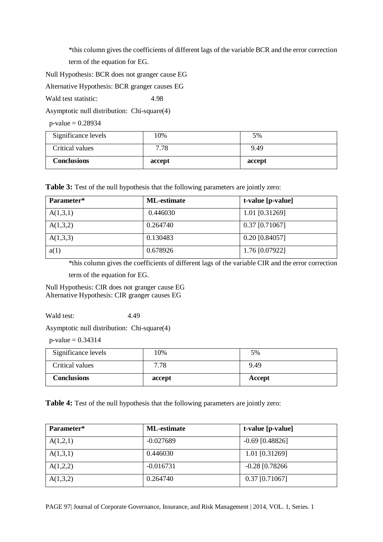\*this column gives the coefficients of different lags of the variable BCR and the error correction term of the equation for EG.

Null Hypothesis: BCR does not granger cause EG

Alternative Hypothesis: BCR granger causes EG

Wald test statistic: 4.98

Asymptotic null distribution: Chi-square(4)

 $p$ -value = 0.28934

| Significance levels | 10%    | 5%     |
|---------------------|--------|--------|
| Critical values     | 7.78   | 9.49   |
| <b>Conclusions</b>  | accept | accept |

**Table 3:** Test of the null hypothesis that the following parameters are jointly zero:

| Parameter* | <b>ML-estimate</b> | t-value [p-value] |
|------------|--------------------|-------------------|
| A(1,3,1)   | 0.446030           | 1.01 [0.31269]    |
| A(1,3,2)   | 0.264740           | $0.37$ [0.71067]  |
| A(1,3,3)   | 0.130483           | $0.20$ [0.84057]  |
| a(1)       | 0.678926           | 1.76 [0.07922]    |

\*this column gives the coefficients of different lags of the variable CIR and the error correction

term of the equation for EG.

Null Hypothesis: CIR does not granger cause EG Alternative Hypothesis: CIR granger causes EG

Wald test: 4.49

Asymptotic null distribution: Chi-square(4)

 $p$ -value = 0.34314

| Significance levels | 10%    | 5%     |
|---------------------|--------|--------|
| Critical values     | 7.78   | 9.49   |
| <b>Conclusions</b>  | accept | Accept |

Table 4: Test of the null hypothesis that the following parameters are jointly zero:

| Parameter* | <b>ML-estimate</b> | t-value [p-value] |
|------------|--------------------|-------------------|
| A(1,2,1)   | $-0.027689$        | $-0.69$ [0.48826] |
| A(1,3,1)   | 0.446030           | 1.01 [0.31269]    |
| A(1,2,2)   | $-0.016731$        | $-0.28$ [0.78266] |
| A(1,3,2)   | 0.264740           | $0.37$ [0.71067]  |

PAGE 97| Journal of Corporate Governance, Insurance, and Risk Management | 2014, VOL. 1, Series. 1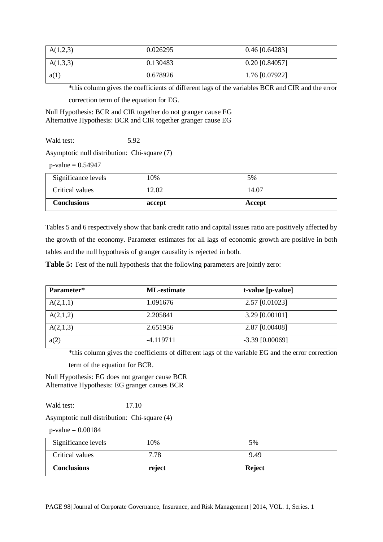| A(1,2,3) | 0.026295 | $0.46$ [0.64283] |
|----------|----------|------------------|
| A(1,3,3) | 0.130483 | $0.20$ [0.84057] |
| a(1)     | 0.678926 | 1.76 [0.07922]   |

\*this column gives the coefficients of different lags of the variables BCR and CIR and the error correction term of the equation for EG.

Null Hypothesis: BCR and CIR together do not granger cause EG Alternative Hypothesis: BCR and CIR together granger cause EG

Wald test: 5.92

Asymptotic null distribution: Chi-square (7)

 $p-value = 0.54947$ 

| Significance levels | 10%    | 5%     |
|---------------------|--------|--------|
| Critical values     | 12.02  | 14.07  |
| <b>Conclusions</b>  | accept | Accept |

Tables 5 and 6 respectively show that bank credit ratio and capital issues ratio are positively affected by the growth of the economy. Parameter estimates for all lags of economic growth are positive in both tables and the null hypothesis of granger causality is rejected in both.

**Table 5:** Test of the null hypothesis that the following parameters are jointly zero:

| Parameter* | <b>ML-estimate</b> | t-value [p-value] |
|------------|--------------------|-------------------|
| A(2,1,1)   | 1.091676           | 2.57 [0.01023]    |
| A(2,1,2)   | 2.205841           | 3.29 [0.00101]    |
| A(2,1,3)   | 2.651956           | 2.87 [0.00408]    |
| a(2)       | $-4.119711$        | $-3.39$ [0.00069] |

\*this column gives the coefficients of different lags of the variable EG and the error correction

term of the equation for BCR.

Null Hypothesis: EG does not granger cause BCR Alternative Hypothesis: EG granger causes BCR

Wald test: 17.10

Asymptotic null distribution: Chi-square (4)

 $p$ -value = 0.00184

| Significance levels | 10%    | 5%            |
|---------------------|--------|---------------|
| Critical values     | 7.78   | 9.49          |
| <b>Conclusions</b>  | reject | <b>Reject</b> |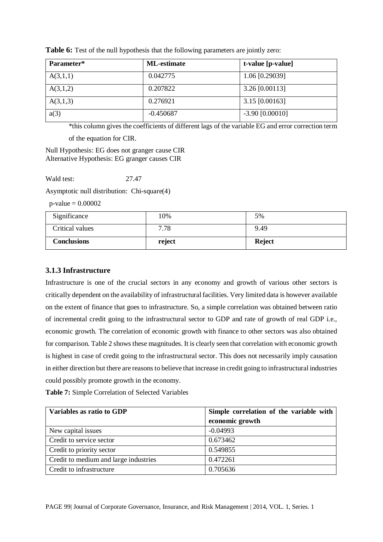| Parameter* | <b>ML-estimate</b> | t-value [p-value] |
|------------|--------------------|-------------------|
| A(3,1,1)   | 0.042775           | 1.06 [0.29039]    |
| A(3,1,2)   | 0.207822           | 3.26 [0.00113]    |
| A(3,1,3)   | 0.276921           | 3.15 [0.00163]    |
| a(3)       | $-0.450687$        | $-3.90$ [0.00010] |

**Table 6:** Test of the null hypothesis that the following parameters are jointly zero:

\*this column gives the coefficients of different lags of the variable EG and error correction term of the equation for CIR.

Null Hypothesis: EG does not granger cause CIR Alternative Hypothesis: EG granger causes CIR

Wald test: 27.47

Asymptotic null distribution: Chi-square(4)

 $p-value = 0.00002$ 

| Significance       | 10%    | 5%            |
|--------------------|--------|---------------|
| Critical values    | 7.78   | 9.49          |
| <b>Conclusions</b> | reject | <b>Reject</b> |

# **3.1.3 Infrastructure**

Infrastructure is one of the crucial sectors in any economy and growth of various other sectors is critically dependent on the availability of infrastructural facilities. Very limited data is however available on the extent of finance that goes to infrastructure. So, a simple correlation was obtained between ratio of incremental credit going to the infrastructural sector to GDP and rate of growth of real GDP i.e., economic growth. The correlation of economic growth with finance to other sectors was also obtained for comparison. Table 2 shows these magnitudes. It is clearly seen that correlation with economic growth is highest in case of credit going to the infrastructural sector. This does not necessarily imply causation in either direction but there are reasons to believe that increase in credit going to infrastructural industries could possibly promote growth in the economy.

**Table 7:** Simple Correlation of Selected Variables

| Variables as ratio to GDP             | Simple correlation of the variable with |
|---------------------------------------|-----------------------------------------|
|                                       | economic growth                         |
| New capital issues                    | $-0.04993$                              |
| Credit to service sector              | 0.673462                                |
| Credit to priority sector             | 0.549855                                |
| Credit to medium and large industries | 0.472261                                |
| Credit to infrastructure              | 0.705636                                |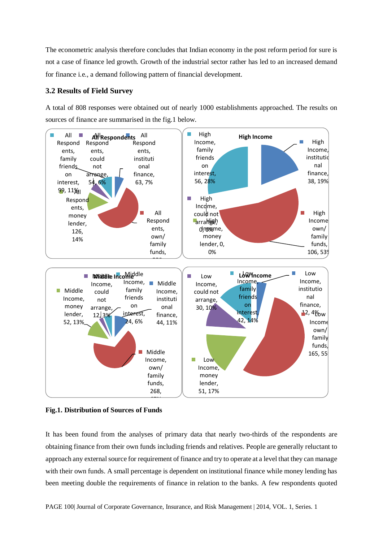The econometric analysis therefore concludes that Indian economy in the post reform period for sure is not a case of finance led growth. Growth of the industrial sector rather has led to an increased demand for finance i.e., a demand following pattern of financial development.

# **3.2 Results of Field Survey**

A total of 808 responses were obtained out of nearly 1000 establishments approached. The results on sources of finance are summarised in the fig.1 below.



**Fig.1. Distribution of Sources of Funds**

It has been found from the analyses of primary data that nearly two-thirds of the respondents are obtaining finance from their own funds including friends and relatives. People are generally reluctant to approach any external source for requirement of finance and try to operate at a level that they can manage with their own funds. A small percentage is dependent on institutional finance while money lending has been meeting double the requirements of finance in relation to the banks. A few respondents quoted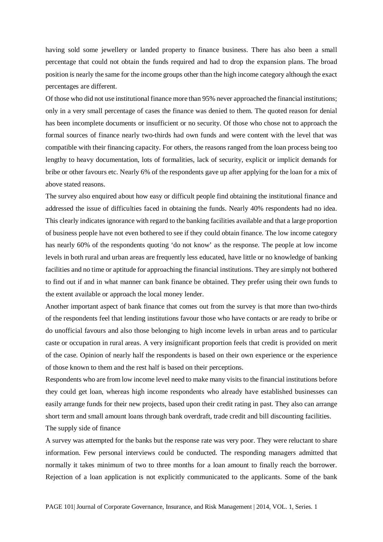having sold some jewellery or landed property to finance business. There has also been a small percentage that could not obtain the funds required and had to drop the expansion plans. The broad position is nearly the same for the income groups other than the high income category although the exact percentages are different.

Of those who did not use institutional finance more than 95% never approached the financial institutions; only in a very small percentage of cases the finance was denied to them. The quoted reason for denial has been incomplete documents or insufficient or no security. Of those who chose not to approach the formal sources of finance nearly two-thirds had own funds and were content with the level that was compatible with their financing capacity. For others, the reasons ranged from the loan process being too lengthy to heavy documentation, lots of formalities, lack of security, explicit or implicit demands for bribe or other favours etc. Nearly 6% of the respondents gave up after applying for the loan for a mix of above stated reasons.

The survey also enquired about how easy or difficult people find obtaining the institutional finance and addressed the issue of difficulties faced in obtaining the funds. Nearly 40% respondents had no idea. This clearly indicates ignorance with regard to the banking facilities available and that a large proportion of business people have not even bothered to see if they could obtain finance. The low income category has nearly 60% of the respondents quoting 'do not know' as the response. The people at low income levels in both rural and urban areas are frequently less educated, have little or no knowledge of banking facilities and no time or aptitude for approaching the financial institutions. They are simply not bothered to find out if and in what manner can bank finance be obtained. They prefer using their own funds to the extent available or approach the local money lender.

Another important aspect of bank finance that comes out from the survey is that more than two-thirds of the respondents feel that lending institutions favour those who have contacts or are ready to bribe or do unofficial favours and also those belonging to high income levels in urban areas and to particular caste or occupation in rural areas. A very insignificant proportion feels that credit is provided on merit of the case. Opinion of nearly half the respondents is based on their own experience or the experience of those known to them and the rest half is based on their perceptions.

Respondents who are from low income level need to make many visits to the financial institutions before they could get loan, whereas high income respondents who already have established businesses can easily arrange funds for their new projects, based upon their credit rating in past. They also can arrange short term and small amount loans through bank overdraft, trade credit and bill discounting facilities. The supply side of finance

A survey was attempted for the banks but the response rate was very poor. They were reluctant to share information. Few personal interviews could be conducted. The responding managers admitted that normally it takes minimum of two to three months for a loan amount to finally reach the borrower. Rejection of a loan application is not explicitly communicated to the applicants. Some of the bank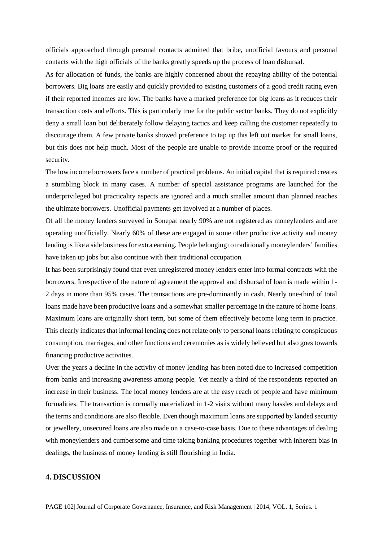officials approached through personal contacts admitted that bribe, unofficial favours and personal contacts with the high officials of the banks greatly speeds up the process of loan disbursal.

As for allocation of funds, the banks are highly concerned about the repaying ability of the potential borrowers. Big loans are easily and quickly provided to existing customers of a good credit rating even if their reported incomes are low. The banks have a marked preference for big loans as it reduces their transaction costs and efforts. This is particularly true for the public sector banks. They do not explicitly deny a small loan but deliberately follow delaying tactics and keep calling the customer repeatedly to discourage them. A few private banks showed preference to tap up this left out market for small loans, but this does not help much. Most of the people are unable to provide income proof or the required security.

The low income borrowers face a number of practical problems. An initial capital that is required creates a stumbling block in many cases. A number of special assistance programs are launched for the underprivileged but practicality aspects are ignored and a much smaller amount than planned reaches the ultimate borrowers. Unofficial payments get involved at a number of places.

Of all the money lenders surveyed in Sonepat nearly 90% are not registered as moneylenders and are operating unofficially. Nearly 60% of these are engaged in some other productive activity and money lending is like a side business for extra earning. People belonging to traditionally moneylenders' families have taken up jobs but also continue with their traditional occupation.

It has been surprisingly found that even unregistered money lenders enter into formal contracts with the borrowers. Irrespective of the nature of agreement the approval and disbursal of loan is made within 1- 2 days in more than 95% cases. The transactions are pre-dominantly in cash. Nearly one-third of total loans made have been productive loans and a somewhat smaller percentage in the nature of home loans. Maximum loans are originally short term, but some of them effectively become long term in practice. This clearly indicates that informal lending does not relate only to personal loans relating to conspicuous consumption, marriages, and other functions and ceremonies as is widely believed but also goes towards financing productive activities.

Over the years a decline in the activity of money lending has been noted due to increased competition from banks and increasing awareness among people. Yet nearly a third of the respondents reported an increase in their business. The local money lenders are at the easy reach of people and have minimum formalities. The transaction is normally materialized in 1-2 visits without many hassles and delays and the terms and conditions are also flexible. Even though maximum loans are supported by landed security or jewellery, unsecured loans are also made on a case-to-case basis. Due to these advantages of dealing with moneylenders and cumbersome and time taking banking procedures together with inherent bias in dealings, the business of money lending is still flourishing in India.

# **4. DISCUSSION**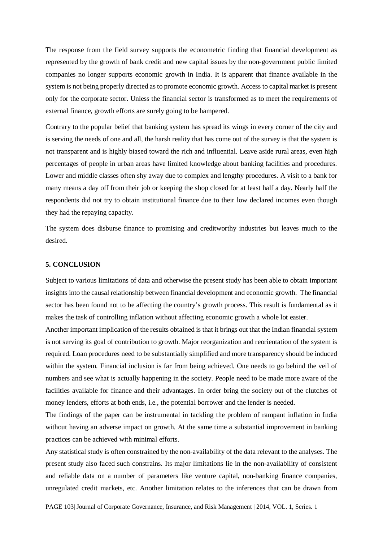The response from the field survey supports the econometric finding that financial development as represented by the growth of bank credit and new capital issues by the non-government public limited companies no longer supports economic growth in India. It is apparent that finance available in the system is not being properly directed as to promote economic growth. Access to capital market is present only for the corporate sector. Unless the financial sector is transformed as to meet the requirements of external finance, growth efforts are surely going to be hampered.

Contrary to the popular belief that banking system has spread its wings in every corner of the city and is serving the needs of one and all, the harsh reality that has come out of the survey is that the system is not transparent and is highly biased toward the rich and influential. Leave aside rural areas, even high percentages of people in urban areas have limited knowledge about banking facilities and procedures. Lower and middle classes often shy away due to complex and lengthy procedures. A visit to a bank for many means a day off from their job or keeping the shop closed for at least half a day. Nearly half the respondents did not try to obtain institutional finance due to their low declared incomes even though they had the repaying capacity.

The system does disburse finance to promising and creditworthy industries but leaves much to the desired.

#### **5. CONCLUSION**

Subject to various limitations of data and otherwise the present study has been able to obtain important insights into the causal relationship between financial development and economic growth. The financial sector has been found not to be affecting the country's growth process. This result is fundamental as it makes the task of controlling inflation without affecting economic growth a whole lot easier.

Another important implication of the results obtained is that it brings out that the Indian financial system is not serving its goal of contribution to growth. Major reorganization and reorientation of the system is required. Loan procedures need to be substantially simplified and more transparency should be induced within the system. Financial inclusion is far from being achieved. One needs to go behind the veil of numbers and see what is actually happening in the society. People need to be made more aware of the facilities available for finance and their advantages. In order bring the society out of the clutches of money lenders, efforts at both ends, i.e., the potential borrower and the lender is needed.

The findings of the paper can be instrumental in tackling the problem of rampant inflation in India without having an adverse impact on growth. At the same time a substantial improvement in banking practices can be achieved with minimal efforts.

Any statistical study is often constrained by the non-availability of the data relevant to the analyses. The present study also faced such constrains. Its major limitations lie in the non-availability of consistent and reliable data on a number of parameters like venture capital, non-banking finance companies, unregulated credit markets, etc. Another limitation relates to the inferences that can be drawn from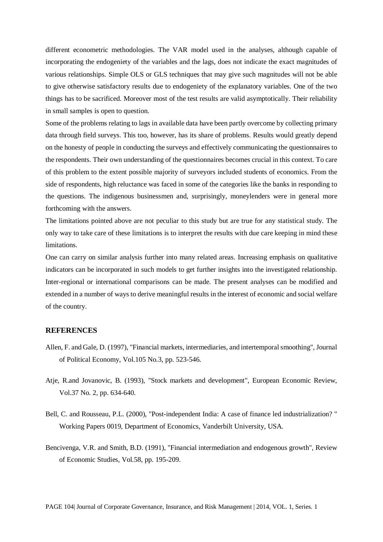different econometric methodologies. The VAR model used in the analyses, although capable of incorporating the endogeniety of the variables and the lags, does not indicate the exact magnitudes of various relationships. Simple OLS or GLS techniques that may give such magnitudes will not be able to give otherwise satisfactory results due to endogeniety of the explanatory variables. One of the two things has to be sacrificed. Moreover most of the test results are valid asymptotically. Their reliability in small samples is open to question.

Some of the problems relating to lags in available data have been partly overcome by collecting primary data through field surveys. This too, however, has its share of problems. Results would greatly depend on the honesty of people in conducting the surveys and effectively communicating the questionnaires to the respondents. Their own understanding of the questionnaires becomes crucial in this context. To care of this problem to the extent possible majority of surveyors included students of economics. From the side of respondents, high reluctance was faced in some of the categories like the banks in responding to the questions. The indigenous businessmen and, surprisingly, moneylenders were in general more forthcoming with the answers.

The limitations pointed above are not peculiar to this study but are true for any statistical study. The only way to take care of these limitations is to interpret the results with due care keeping in mind these limitations.

One can carry on similar analysis further into many related areas. Increasing emphasis on qualitative indicators can be incorporated in such models to get further insights into the investigated relationship. Inter-regional or international comparisons can be made. The present analyses can be modified and extended in a number of ways to derive meaningful results in the interest of economic and social welfare of the country.

#### **REFERENCES**

- Allen, F. and Gale, D. (1997), "Financial markets, intermediaries, and intertemporal smoothing", Journal of Political Economy, Vol.105 No.3, pp. 523-546.
- Atje, R.and Jovanovic, B. (1993), "Stock markets and development", European Economic Review, Vol.37 No. 2, pp. 634-640.
- Bell, C. and Rousseau, P.L. (2000), "Post-independent India: A case of finance led industrialization? " Working Papers 0019, Department of Economics, Vanderbilt University, USA.
- Bencivenga, V.R. and Smith, B.D. (1991), "Financial intermediation and endogenous growth", Review of Economic Studies, Vol.58, pp. 195-209.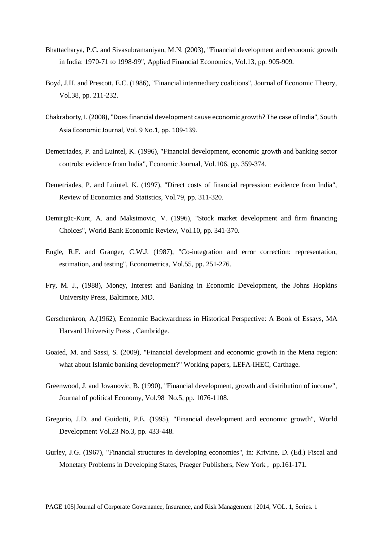- Bhattacharya, P.C. and Sivasubramaniyan, M.N. (2003), "Financial development and economic growth in India: 1970-71 to 1998-99", Applied Financial Economics, Vol.13, pp. 905-909.
- Boyd, J.H. and Prescott, E.C. (1986), "Financial intermediary coalitions", Journal of Economic Theory, Vol.38, pp. 211-232.
- Chakraborty, I. (2008), "Does financial development cause economic growth? The case of India", South Asia Economic Journal, Vol. 9 No.1, pp. 109-139.
- Demetriades, P. and Luintel, K. (1996), "Financial development, economic growth and banking sector controls: evidence from India", Economic Journal, Vol.106, pp. 359-374.
- Demetriades, P. and Luintel, K. (1997), "Direct costs of financial repression: evidence from India", Review of Economics and Statistics, Vol.79, pp. 311-320.
- Demirgüc-Kunt, A. and Maksimovic, V. (1996), "Stock market development and firm financing Choices", World Bank Economic Review, Vol.10, pp. 341-370.
- Engle, R.F. and Granger, C.W.J. (1987), "Co-integration and error correction: representation, estimation, and testing", Econometrica, Vol.55, pp. 251-276.
- Fry, M. J., (1988), Money, Interest and Banking in Economic Development, the Johns Hopkins University Press, Baltimore, MD.
- Gerschenkron, A.(1962), Economic Backwardness in Historical Perspective: A Book of Essays, MA Harvard University Press , Cambridge.
- Goaied, M. and Sassi, S. (2009), "Financial development and economic growth in the Mena region: what about Islamic banking development?" Working papers, LEFA-IHEC, Carthage.
- Greenwood, J. and Jovanovic, B. (1990), "Financial development, growth and distribution of income", Journal of political Economy, Vol.98 No.5, pp. 1076-1108.
- Gregorio, J.D. and Guidotti, P.E. (1995), "Financial development and economic growth", World Development Vol.23 No.3, pp. 433-448.
- Gurley, J.G. (1967), "Financial structures in developing economies", in: Krivine, D. (Ed.) Fiscal and Monetary Problems in Developing States, Praeger Publishers, New York , pp.161-171.